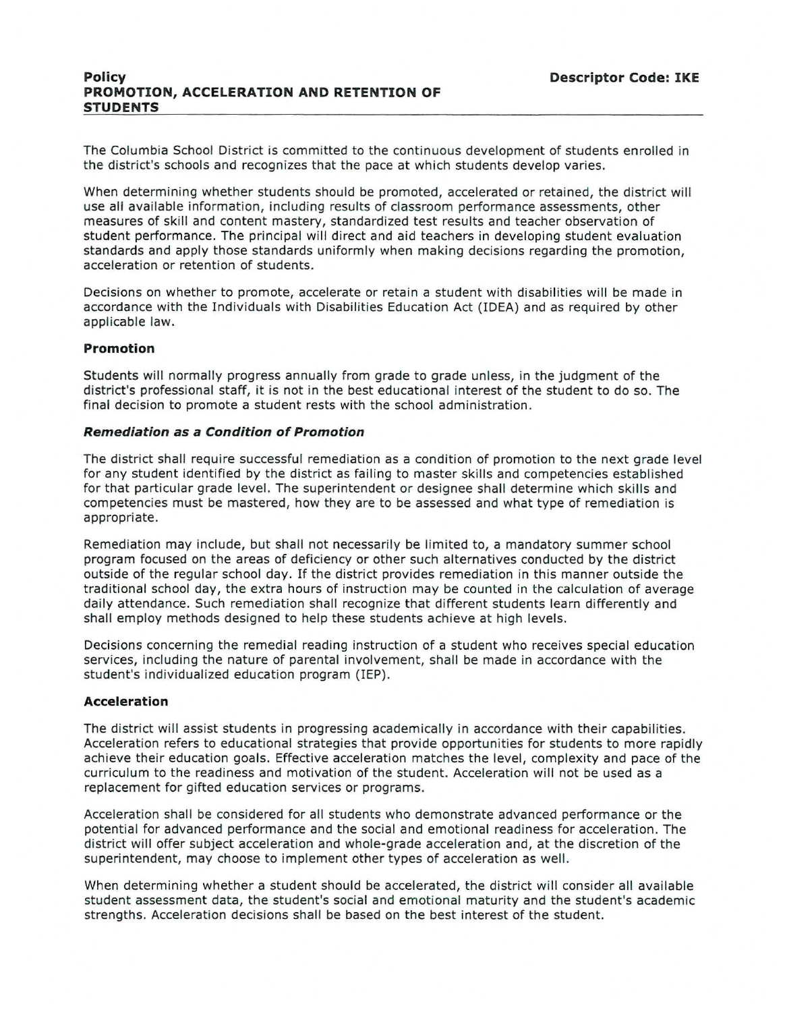The Columbia School District is committed to the continuous development of students enrolled in the district's schools and recognizes that the pace at which students develop varies.

When determining whether students should be promoted, accelerated or retained, the district will use all available information, including results of classroom performance assessments, other measures of skill and content mastery, standardized test results and teacher observation of student performance. The principal will direct and aid teachers in developing student evaluation standards and apply those standards uniformly when making decisions regarding the promotion, acceleration or retention of students.

Decisions on whether to promote, accelerate or retain a student with disabilities will be made in accordance with the Individuals with Disabilities Education Act (IDEA) and as required by other applicable law.

# **Promotion**

Students will normally progress annually from grade to grade unless, in the judgment of the district's professional staff, it is not in the best educational interest of the student to do so. The final decision to promote a student rests with the school administration.

# **Remediation as a Condition of Promotion**

The district shall require successful remediation as a condition of promotion to the next grade level for any student identified by the district as failing to master skills and competencies established for that particular grade level. The superintendent or designee shall determine which skills and competencies must be mastered, how they are to be assessed and what type of remediation is appropriate.

Remediation may include, but shall not necessarily be limited to, a mandatory summer school program focused on the areas of deficiency or other such alternatives conducted by the district outside of the regular school day. If the district provides remediation in this manner outside the traditional school day, the extra hours of instruction may be counted in the calculation of average daily attendance. Such remediation shall recognize that different students learn differently and shall employ methods designed to help these students achieve at high levels.

Decisions concerning the remedial reading instruction of a student who receives special education services, including the nature of parental involvement, shall be made in accordance with the student's individualized education program (IEP).

# **Acceleration**

The district will assist students in progressing academically in accordance with their capabilities. Acceleration refers to educational strategies that provide opportunities for students to more rapidly achieve their education goals. Effective acceleration matches the level, complexity and pace of the curriculum to the readiness and motivation of the student. Acceleration will not be used as a replacement for gifted education services or programs.

Acceleration shall be considered for all students who demonstrate advanced performance or the potential for advanced performance and the social and emotional readiness for acceleration. The district will offer subject acceleration and whole-grade acceleration and, at the discretion of the superintendent, may choose to implement other types of acceleration as well.

When determining whether a student should be accelerated, the district will consider all available student assessment data, the student's social and emotional maturity and the student's academic strengths. Acceleration decisions shall be based on the best interest of the student.